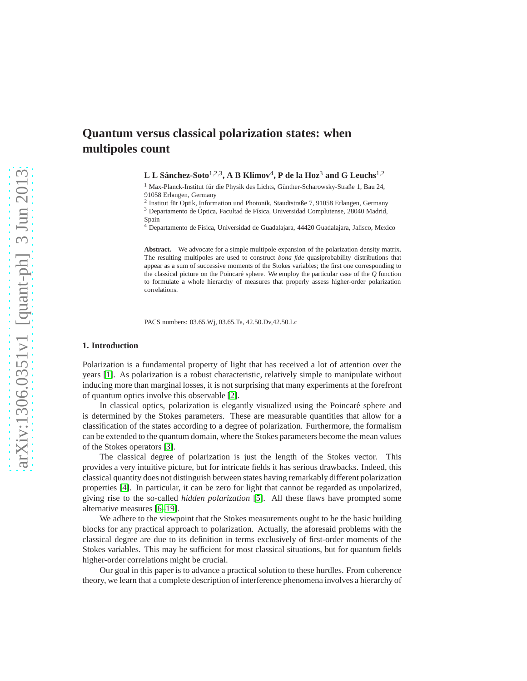# **Quantum versus classical polarization states: when multipoles count**

**L L Sanchez-Soto ´** 1,2,3 **, A B Klimov**<sup>4</sup> **, P de la Hoz**<sup>3</sup> **and G Leuchs**1,<sup>2</sup>

 $1$  Max-Planck-Institut für die Physik des Lichts, Günther-Scharowsky-Straße 1, Bau 24, 91058 Erlangen, Germany

<sup>2</sup> Institut für Optik, Information und Photonik, Staudtstraße 7, 91058 Erlangen, Germany  $3$  Departamento de Óptica, Facultad de Física, Universidad Complutense, 28040 Madrid,

Spain

<sup>4</sup> Departamento de Física, Universidad de Guadalajara, 44420 Guadalajara, Jalisco, Mexico

Abstract. We advocate for a simple multipole expansion of the polarization density matrix. The resulting multipoles are used to construct *bona fide* quasiprobability distributions that appear as a sum of successive moments of the Stokes variables; the first one corresponding to the classical picture on the Poincar´e sphere. We employ the particular case of the *Q* function to formulate a whole hierarchy of measures that properly assess higher-order polarization correlations.

PACS numbers: 03.65.Wj, 03.65.Ta, 42.50.Dv,42.50.Lc

## **1. Introduction**

Polarization is a fundamental property of light that has received a lot of attention over the years [\[1\]](#page-7-0). As polarization is a robust characteristic, relatively simple to manipulate without inducing more than marginal losses, it is not surprising that many experiments at the forefront of quantum optics involve this observable [\[2\]](#page-7-1).

In classical optics, polarization is elegantly visualized using the Poincaré sphere and is determined by the Stokes parameters. These are measurable quantities that allow for a classification of the states according to a degree of polarization. Furthermore, the formalism can be extended to the quantum domain, where the Stokes parameters become the mean values of the Stokes operators [\[3\]](#page-7-2).

The classical degree of polarization is just the length of the Stokes vector. This provides a very intuitive picture, but for intricate fields it has serious drawbacks. Indeed, this classical quantity does not distinguish between states having remarkably different polarization properties [\[4\]](#page-7-3). In particular, it can be zero for light that cannot be regarded as unpolarized, giving rise to the so-called *hidden polarization* [\[5\]](#page-7-4). All these flaws have prompted some alternative measures [\[6–](#page-7-5)[19\]](#page-7-6).

We adhere to the viewpoint that the Stokes measurements ought to be the basic building blocks for any practical approach to polarization. Actually, the aforesaid problems with the classical degree are due to its definition in terms exclusively of first-order moments of the Stokes variables. This may be sufficient for most classical situations, but for quantum fields higher-order correlations might be crucial.

Our goal in this paper is to advance a practical solution to these hurdles. From coherence theory, we learn that a complete description of interference phenomena involves a hierarchy of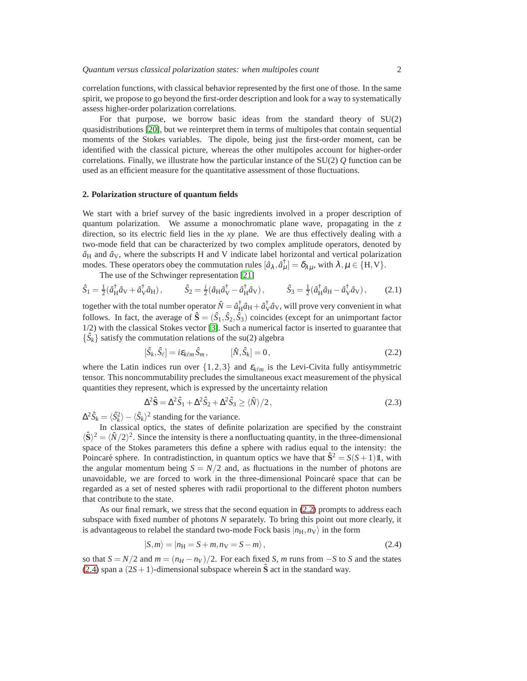correlation functions, with classical behavior represented by the first one of those. In the same spirit, we propose to go beyond the first-order description and look for a way to systematically assess higher-order polarization correlations.

For that purpose, we borrow basic ideas from the standard theory of SU(2) quasidistributions [\[20\]](#page-7-7), but we reinterpret them in terms of multipoles that contain sequential moments of the Stokes variables. The dipole, being just the first-order moment, can be identified with the classical picture, whereas the other multipoles account for higher-order correlations. Finally, we illustrate how the particular instance of the SU(2) *Q* function can be used as an efficient measure for the quantitative assessment of those fluctuations.

### **2. Polarization structure of quantum fields**

We start with a brief survey of the basic ingredients involved in a proper description of quantum polarization. We assume a monochromatic plane wave, propagating in the *z* direction, so its electric field lies in the *xy* plane. We are thus effectively dealing with a two-mode field that can be characterized by two complex amplitude operators, denoted by  $\hat{a}_{\rm H}$  and  $\hat{a}_{\rm V}$ , where the subscripts H and V indicate label horizontal and vertical polarization modes. These operators obey the commutation rules  $[\hat{a}_{\lambda}, \hat{a}_{\mu}^{\dagger}] = \delta_{\lambda\mu}$ , with  $\lambda, \mu \in \{H, V\}$ .

<span id="page-1-2"></span>The use of the Schwinger representation [\[21\]](#page-7-8)

$$
\hat{S}_1 = \frac{1}{2} (\hat{a}_{\text{H}}^\dagger \hat{a}_{\text{V}} + \hat{a}_{\text{V}}^\dagger \hat{a}_{\text{H}}), \qquad \hat{S}_2 = \frac{i}{2} (\hat{a}_{\text{H}} \hat{a}_{\text{V}}^\dagger - \hat{a}_{\text{H}}^\dagger \hat{a}_{\text{V}}), \qquad \hat{S}_3 = \frac{1}{2} (\hat{a}_{\text{H}}^\dagger \hat{a}_{\text{H}} - \hat{a}_{\text{V}}^\dagger \hat{a}_{\text{V}}), \qquad (2.1)
$$

together with the total number operator  $\hat{N} = \hat{a}^{\dagger}_H \hat{a}_H + \hat{a}^{\dagger}_V \hat{a}_V$ , will prove very convenient in what follows. In fact, the average of  $\hat{\mathbf{S}} = (\hat{S}_1, \hat{S}_2, \hat{S}_3)$  coincides (except for an unimportant factor 1/2) with the classical Stokes vector [\[3\]](#page-7-2). Such a numerical factor is inserted to guarantee that  $\{\hat{S}_k\}$  satisfy the commutation relations of the su(2) algebra

<span id="page-1-0"></span>
$$
[\hat{S}_k, \hat{S}_\ell] = i\varepsilon_{k\ell m} \hat{S}_m, \qquad [\hat{N}, \hat{S}_k] = 0, \qquad (2.2)
$$

where the Latin indices run over  $\{1,2,3\}$  and  $\varepsilon_{k\ell m}$  is the Levi-Civita fully antisymmetric tensor. This noncommutability precludes the simultaneous exact measurement of the physical quantities they represent, which is expressed by the uncertainty relation

<span id="page-1-3"></span>
$$
\Delta^2 \hat{\mathbf{S}} = \Delta^2 \hat{S}_1 + \Delta^2 \hat{S}_2 + \Delta^2 \hat{S}_3 \ge \langle \hat{N} \rangle / 2, \tag{2.3}
$$

 $\Delta^2 \hat{S}_k = \langle \hat{S}_k^2 \rangle - \langle \hat{S}_k \rangle^2$  standing for the variance.

In classical optics, the states of definite polarization are specified by the constraint  $\langle \hat{\mathbf{S}} \rangle^2 = \langle \hat{N}/2 \rangle^2$ . Since the intensity is there a nonfluctuating quantity, in the three-dimensional space of the Stokes parameters this define a sphere with radius equal to the intensity: the Poincaré sphere. In contradistinction, in quantum optics we have that  $\hat{S}^2 = S(S+1)1$ , with the angular momentum being  $S = N/2$  and, as fluctuations in the number of photons are unavoidable, we are forced to work in the three-dimensional Poincaré space that can be regarded as a set of nested spheres with radii proportional to the different photon numbers that contribute to the state.

As our final remark, we stress that the second equation in [\(2.2\)](#page-1-0) prompts to address each subspace with fixed number of photons *N* separately. To bring this point out more clearly, it is advantageous to relabel the standard two-mode Fock basis  $|n_{\rm H}, n_{\rm V}\rangle$  in the form

<span id="page-1-1"></span>
$$
|S,m\rangle = |n_{\rm H} = S + m, n_{\rm V} = S - m\rangle, \qquad (2.4)
$$

so that  $S = N/2$  and  $m = (n_H - n_V)/2$ . For each fixed *S*, *m* runs from  $-S$  to *S* and the states [\(2.4\)](#page-1-1) span a  $(2S+1)$ -dimensional subspace wherein  $\hat{S}$  act in the standard way.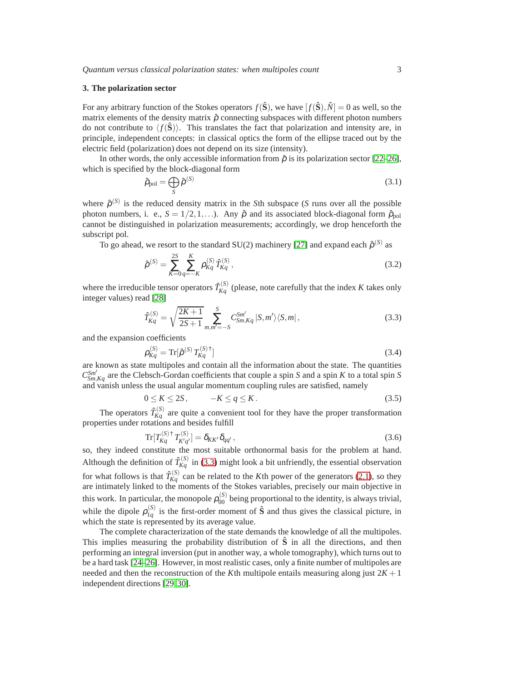#### **3. The polarization sector**

For any arbitrary function of the Stokes operators  $f(\hat{S})$ , we have  $[f(\hat{S}), \hat{N}] = 0$  as well, so the matrix elements of the density matrix  $\hat{\rho}$  connecting subspaces with different photon numbers do not contribute to  $\langle f(\hat{\mathbf{S}})\rangle$ . This translates the fact that polarization and intensity are, in principle, independent concepts: in classical optics the form of the ellipse traced out by the electric field (polarization) does not depend on its size (intensity).

In other words, the only accessible information from  $\hat{\rho}$  is its polarization sector [\[22–](#page-7-9)[26\]](#page-7-10), which is specified by the block-diagonal form

<span id="page-2-1"></span>
$$
\hat{\rho}_{pol} = \bigoplus_{S} \hat{\rho}^{(S)} \tag{3.1}
$$

where  $\hat{\rho}^{(S)}$  is the reduced density matrix in the *S*th subspace (*S* runs over all the possible photon numbers, i. e.,  $S = 1/2, 1, ...$ ). Any  $\hat{\rho}$  and its associated block-diagonal form  $\hat{\rho}_{pol}$ cannot be distinguished in polarization measurements; accordingly, we drop henceforth the subscript pol.

To go ahead, we resort to the standard SU(2) machinery [\[27\]](#page-7-11) and expand each  $\hat{\rho}^{(S)}$  as

$$
\hat{\rho}^{(S)} = \sum_{K=0}^{2S} \sum_{q=-K}^{K} \rho_{Kq}^{(S)} \hat{T}_{Kq}^{(S)},
$$
\n(3.2)

where the irreducible tensor operators  $\hat{T}_{Kq}^{(S)}$  (please, note carefully that the index *K* takes only integer values) read [\[28\]](#page-7-12)

<span id="page-2-0"></span>
$$
\hat{T}_{Kq}^{(S)} = \sqrt{\frac{2K+1}{2S+1}} \sum_{m,m'=-S}^{S} C_{Sm,Kq}^{Sm'} |S,m'\rangle \langle S,m|,
$$
\n(3.3)

and the expansion coefficients

$$
\rho_{Kq}^{(S)} = \text{Tr}[\hat{\rho}^{(S)} T_{Kq}^{(S)\dagger}] \tag{3.4}
$$

are known as state multipoles and contain all the information about the state. The quantities  $C_{Sm,Kq}^{Sm'}$  are the Clebsch-Gordan coefficients that couple a spin *S* and a spin *K* to a total spin *S* and vanish unless the usual angular momentum coupling rules are satisfied, namely

$$
0 \le K \le 2S, \qquad -K \le q \le K. \tag{3.5}
$$

The operators  $\hat{T}_{Kq}^{(S)}$  are quite a convenient tool for they have the proper transformation properties under rotations and besides fulfill

$$
\text{Tr}[T_{Kq}^{(S)\dagger} T_{K'q'}^{(S)}] = \delta_{KK'} \delta_{qq'},\tag{3.6}
$$

so, they indeed constitute the most suitable orthonormal basis for the problem at hand. Although the definition of  $\hat{T}_{Kq}^{(S)}$  in [\(3.3\)](#page-2-0) might look a bit unfriendly, the essential observation for what follows is that  $\hat{T}_{Kq}^{(S)}$  can be related to the *K*th power of the generators [\(2.1\)](#page-1-2), so they are intimately linked to the moments of the Stokes variables, precisely our main objective in this work. In particular, the monopole  $\rho_{00}^{(S)}$  being proportional to the identity, is always trivial, while the dipole  $\rho_{1a}^{(S)}$  $\frac{1}{1q}$  is the first-order moment of  $\hat{S}$  and thus gives the classical picture, in which the state is represented by its average value.

The complete characterization of the state demands the knowledge of all the multipoles. This implies measuring the probability distribution of  $\hat{S}$  in all the directions, and then performing an integral inversion (put in another way, a whole tomography), which turns out to be a hard task [\[24–](#page-7-13)[26\]](#page-7-10). However, in most realistic cases, only a finite number of multipoles are needed and then the reconstruction of the *K*th multipole entails measuring along just  $2K + 1$ independent directions [\[29,](#page-7-14) [30\]](#page-7-15).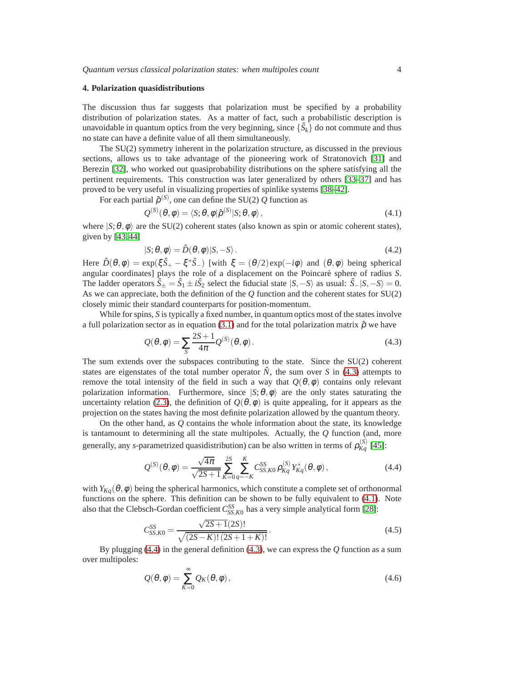### **4. Polarization quasidistributions**

The discussion thus far suggests that polarization must be specified by a probability distribution of polarization states. As a matter of fact, such a probabilistic description is unavoidable in quantum optics from the very beginning, since  $\{\hat{S}_k\}$  do not commute and thus no state can have a definite value of all them simultaneously.

The SU(2) symmetry inherent in the polarization structure, as discussed in the previous sections, allows us to take advantage of the pioneering work of Stratonovich [\[31\]](#page-7-16) and Berezin [\[32\]](#page-7-17), who worked out quasiprobability distributions on the sphere satisfying all the pertinent requirements. This construction was later generalized by others [\[33–](#page-7-18)[37\]](#page-7-19) and has proved to be very useful in visualizing properties of spinlike systems [\[38–](#page-7-20)[42\]](#page-7-21).

For each partial  $\hat{\rho}^{(S)}$ , one can define the SU(2) Q function as

<span id="page-3-1"></span>
$$
Q^{(S)}(\theta,\phi) = \langle S;\theta,\phi|\hat{\rho}^{(S)}|S;\theta,\phi\rangle, \qquad (4.1)
$$

where  $|S; \theta, \phi\rangle$  are the SU(2) coherent states (also known as spin or atomic coherent states), given by [\[43,](#page-7-22) [44\]](#page-7-23)

<span id="page-3-4"></span>
$$
|S; \theta, \phi\rangle = \hat{D}(\theta, \phi)|S, -S\rangle.
$$
 (4.2)

Here  $\hat{D}(\theta, \phi) = \exp(\xi \hat{S}_+ - \xi^* \hat{S}_-)$  [with  $\xi = (\theta/2) \exp(-i\phi)$  and  $(\theta, \phi)$  being spherical angular coordinates] plays the role of a displacement on the Poincaré sphere of radius *S*. The ladder operators  $\hat{S}_\pm = \hat{S}_1 \pm i\hat{S}_2$  select the fiducial state  $|S, -S\rangle$  as usual:  $\hat{S}_-|S, -S\rangle = 0$ . As we can appreciate, both the definition of the *Q* function and the coherent states for SU(2) closely mimic their standard counterparts for position-momentum.

While for spins, *S* is typically a fixed number, in quantum optics most of the states involve a full polarization sector as in equation [\(3.1\)](#page-2-1) and for the total polarization matrix  $\hat{\rho}$  we have

<span id="page-3-0"></span>
$$
Q(\theta, \phi) = \sum_{S} \frac{2S + 1}{4\pi} Q^{(S)}(\theta, \phi).
$$
 (4.3)

The sum extends over the subspaces contributing to the state. Since the SU(2) coherent states are eigenstates of the total number operator  $\dot{N}$ , the sum over  $S$  in [\(4.3\)](#page-3-0) attempts to remove the total intensity of the field in such a way that  $Q(\theta,\phi)$  contains only relevant polarization information. Furthermore, since  $|S; \theta, \phi \rangle$  are the only states saturating the uncertainty relation [\(2.3\)](#page-1-3), the definition of  $Q(\theta, \phi)$  is quite appealing, for it appears as the projection on the states having the most definite polarization allowed by the quantum theory.

On the other hand, as *Q* contains the whole information about the state, its knowledge is tantamount to determining all the state multipoles. Actually, the *Q* function (and, more generally, any *s*-parametrized quasidistribution) can be also written in terms of  $\rho_{Kq}^{(S)}$  [\[45\]](#page-7-24):

<span id="page-3-2"></span>
$$
Q^{(S)}(\theta,\phi) = \frac{\sqrt{4\pi}}{\sqrt{2S+1}} \sum_{K=0}^{2S} \sum_{q=-K}^{K} C_{SS,K0}^{SS} \rho_{Kq}^{(S)} Y_{Kq}^*(\theta,\phi), \qquad (4.4)
$$

with  $Y_{Kq}(\theta, \phi)$  being the spherical harmonics, which constitute a complete set of orthonormal functions on the sphere. This definition can be shown to be fully equivalent to [\(4.1\)](#page-3-1). Note also that the Clebsch-Gordan coefficient  $C_{SS,K0}^{SS}$  has a very simple analytical form [\[28\]](#page-7-12):

$$
C_{SS,K0}^{SS} = \frac{\sqrt{2S+1}(2S)!}{\sqrt{(2S-K)!(2S+1+K)!}}.
$$
\n(4.5)

By plugging [\(4.4\)](#page-3-2) in the general definition [\(4.3\)](#page-3-0), we can express the *Q* function as a sum over multipoles:

<span id="page-3-3"></span>
$$
Q(\theta,\phi) = \sum_{K=0}^{\infty} Q_K(\theta,\phi),
$$
\n(4.6)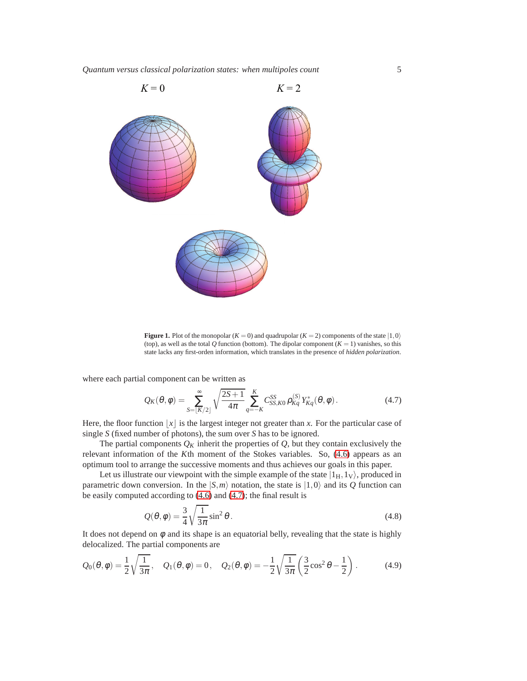

**Figure 1.** Plot of the monopolar ( $K = 0$ ) and quadrupolar ( $K = 2$ ) components of the state  $|1,0\rangle$ (top), as well as the total  $Q$  function (bottom). The dipolar component  $(K = 1)$  vanishes, so this state lacks any first-orden information, which translates in the presence of *hidden polarization*.

where each partial component can be written as

<span id="page-4-0"></span>
$$
Q_K(\theta, \phi) = \sum_{S = [K/2]}^{\infty} \sqrt{\frac{2S+1}{4\pi}} \sum_{q=-K}^{K} C_{SS, K0}^{SS} \rho_{Kq}^{(S)} Y_{Kq}^*(\theta, \phi).
$$
 (4.7)

Here, the floor function  $|x|$  is the largest integer not greater than *x*. For the particular case of single *S* (fixed number of photons), the sum over *S* has to be ignored.

The partial components  $Q_K$  inherit the properties of  $Q$ , but they contain exclusively the relevant information of the *K*th moment of the Stokes variables. So, [\(4.6\)](#page-3-3) appears as an optimum tool to arrange the successive moments and thus achieves our goals in this paper.

Let us illustrate our viewpoint with the simple example of the state  $|1_H,1_V\rangle$ , produced in parametric down conversion. In the  $|S,m\rangle$  notation, the state is  $|1,0\rangle$  and its *Q* function can be easily computed according to [\(4.6\)](#page-3-3) and [\(4.7\)](#page-4-0); the final result is

<span id="page-4-2"></span><span id="page-4-1"></span>
$$
Q(\theta, \phi) = \frac{3}{4} \sqrt{\frac{1}{3\pi}} \sin^2 \theta.
$$
 (4.8)

It does not depend on  $\phi$  and its shape is an equatorial belly, revealing that the state is highly delocalized. The partial components are

$$
Q_0(\theta, \phi) = \frac{1}{2} \sqrt{\frac{1}{3\pi}}, \quad Q_1(\theta, \phi) = 0, \quad Q_2(\theta, \phi) = -\frac{1}{2} \sqrt{\frac{1}{3\pi}} \left(\frac{3}{2} \cos^2 \theta - \frac{1}{2}\right).
$$
 (4.9)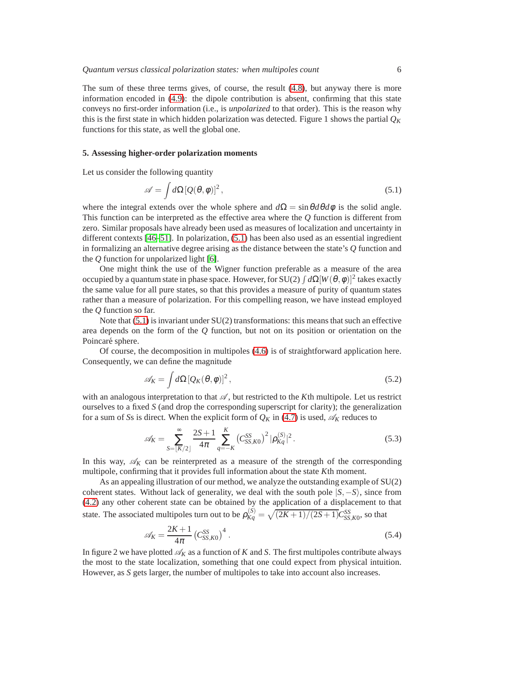The sum of these three terms gives, of course, the result [\(4.8\)](#page-4-1), but anyway there is more information encoded in [\(4.9\)](#page-4-2): the dipole contribution is absent, confirming that this state conveys no first-order information (i.e., is *unpolarized* to that order). This is the reason why this is the first state in which hidden polarization was detected. Figure 1 shows the partial  $Q_K$ functions for this state, as well the global one.

#### **5. Assessing higher-order polarization moments**

Let us consider the following quantity

<span id="page-5-0"></span>
$$
\mathscr{A} = \int d\Omega \left[ Q(\theta, \phi) \right]^2, \tag{5.1}
$$

where the integral extends over the whole sphere and  $d\Omega = \sin\theta d\theta d\phi$  is the solid angle. This function can be interpreted as the effective area where the *Q* function is different from zero. Similar proposals have already been used as measures of localization and uncertainty in different contexts [\[46](#page-7-25)[–51\]](#page-7-26). In polarization, [\(5.1\)](#page-5-0) has been also used as an essential ingredient in formalizing an alternative degree arising as the distance between the state's *Q* function and the *Q* function for unpolarized light [\[6\]](#page-7-5).

One might think the use of the Wigner function preferable as a measure of the area occupied by a quantum state in phase space. However, for SU(2)  $\int d\Omega[W(\theta,\phi)]^2$  takes exactly the same value for all pure states, so that this provides a measure of purity of quantum states rather than a measure of polarization. For this compelling reason, we have instead employed the *Q* function so far.

Note that  $(5.1)$  is invariant under  $SU(2)$  transformations: this means that such an effective area depends on the form of the *Q* function, but not on its position or orientation on the Poincaré sphere.

Of course, the decomposition in multipoles [\(4.6\)](#page-3-3) is of straightforward application here. Consequently, we can define the magnitude

$$
\mathscr{A}_K = \int d\Omega \left[ Q_K(\theta, \phi) \right]^2, \tag{5.2}
$$

with an analogous interpretation to that  $\mathscr A$ , but restricted to the *K*th multipole. Let us restrict ourselves to a fixed *S* (and drop the corresponding superscript for clarity); the generalization for a sum of *S*s is direct. When the explicit form of  $Q_K$  in [\(4.7\)](#page-4-0) is used,  $\mathcal{A}_K$  reduces to

$$
\mathscr{A}_{K} = \sum_{S=\lfloor K/2 \rfloor}^{\infty} \frac{2S+1}{4\pi} \sum_{q=-K}^{K} \left( C_{SS,K0}^{SS} \right)^{2} |\rho_{Kq}^{(S)}|^{2}.
$$
\n(5.3)

In this way,  $\mathscr{A}_K$  can be reinterpreted as a measure of the strength of the corresponding multipole, confirming that it provides full information about the state *K*th moment.

As an appealing illustration of our method, we analyze the outstanding example of SU(2) coherent states. Without lack of generality, we deal with the south pole |*S*,−*S*i, since from [\(4.2\)](#page-3-4) any other coherent state can be obtained by the application of a displacement to that state. The associated multipoles turn out to be  $\rho_{Kq}^{(S)} = \sqrt{(2K+1)/(2S+1)}C_{SS,K0}^{SS}$ , so that

$$
\mathscr{A}_K = \frac{2K+1}{4\pi} \left( C_{SS,K0}^{SS} \right)^4 \,. \tag{5.4}
$$

In figure 2 we have plotted  $\mathcal{A}_K$  as a function of K and S. The first multipoles contribute always the most to the state localization, something that one could expect from physical intuition. However, as *S* gets larger, the number of multipoles to take into account also increases.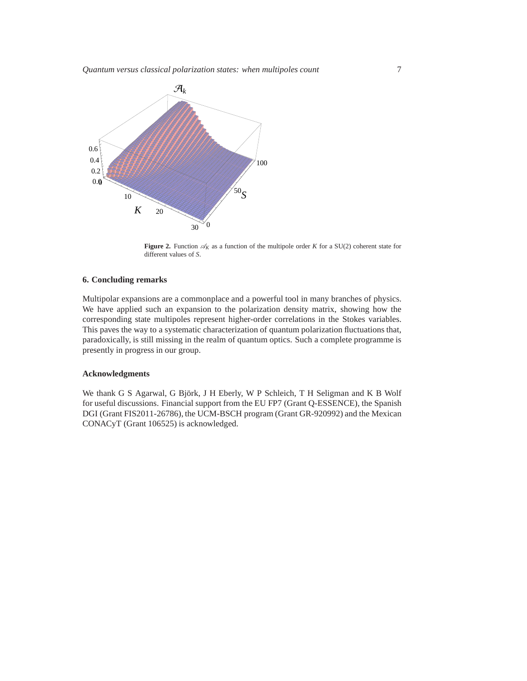*Quantum versus classical polarization states: when multipoles count* 7



**Figure 2.** Function  $\mathcal{A}_K$  as a function of the multipole order *K* for a SU(2) coherent state for different values of *S*.

# **6. Concluding remarks**

Multipolar expansions are a commonplace and a powerful tool in many branches of physics. We have applied such an expansion to the polarization density matrix, showing how the corresponding state multipoles represent higher-order correlations in the Stokes variables. This paves the way to a systematic characterization of quantum polarization fluctuations that, paradoxically, is still missing in the realm of quantum optics. Such a complete programme is presently in progress in our group.

# **Acknowledgments**

We thank G S Agarwal, G Björk, J H Eberly, W P Schleich, T H Seligman and K B Wolf for useful discussions. Financial support from the EU FP7 (Grant Q-ESSENCE), the Spanish DGI (Grant FIS2011-26786), the UCM-BSCH program (Grant GR-920992) and the Mexican CONACyT (Grant 106525) is acknowledged.